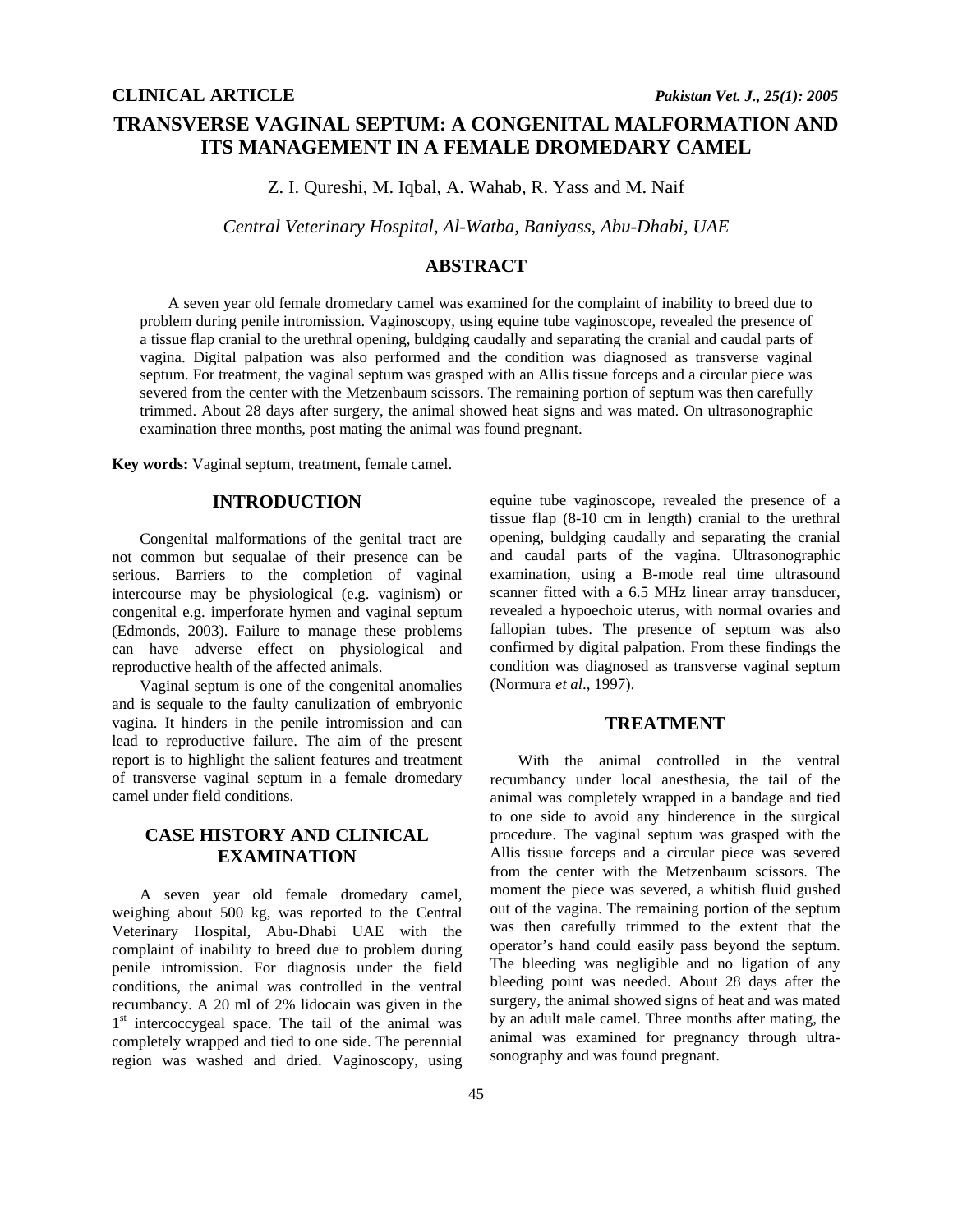# **TRANSVERSE VAGINAL SEPTUM: A CONGENITAL MALFORMATION AND ITS MANAGEMENT IN A FEMALE DROMEDARY CAMEL**

Z. I. Qureshi, M. Iqbal, A. Wahab, R. Yass and M. Naif

*Central Veterinary Hospital, Al-Watba, Baniyass, Abu-Dhabi, UAE* 

# **ABSTRACT**

A seven year old female dromedary camel was examined for the complaint of inability to breed due to problem during penile intromission. Vaginoscopy, using equine tube vaginoscope, revealed the presence of a tissue flap cranial to the urethral opening, buldging caudally and separating the cranial and caudal parts of vagina. Digital palpation was also performed and the condition was diagnosed as transverse vaginal septum. For treatment, the vaginal septum was grasped with an Allis tissue forceps and a circular piece was severed from the center with the Metzenbaum scissors. The remaining portion of septum was then carefully trimmed. About 28 days after surgery, the animal showed heat signs and was mated. On ultrasonographic examination three months, post mating the animal was found pregnant.

**Key words:** Vaginal septum, treatment, female camel.

### **INTRODUCTION**

Congenital malformations of the genital tract are not common but sequalae of their presence can be serious. Barriers to the completion of vaginal intercourse may be physiological (e.g. vaginism) or congenital e.g. imperforate hymen and vaginal septum (Edmonds, 2003). Failure to manage these problems can have adverse effect on physiological and reproductive health of the affected animals.

Vaginal septum is one of the congenital anomalies and is sequale to the faulty canulization of embryonic vagina. It hinders in the penile intromission and can lead to reproductive failure. The aim of the present report is to highlight the salient features and treatment of transverse vaginal septum in a female dromedary camel under field conditions.

## **CASE HISTORY AND CLINICAL EXAMINATION**

A seven year old female dromedary camel, weighing about 500 kg, was reported to the Central Veterinary Hospital, Abu-Dhabi UAE with the complaint of inability to breed due to problem during penile intromission. For diagnosis under the field conditions, the animal was controlled in the ventral recumbancy. A 20 ml of 2% lidocain was given in the 1<sup>st</sup> intercoccygeal space. The tail of the animal was completely wrapped and tied to one side. The perennial region was washed and dried. Vaginoscopy, using

equine tube vaginoscope, revealed the presence of a tissue flap (8-10 cm in length) cranial to the urethral opening, buldging caudally and separating the cranial and caudal parts of the vagina. Ultrasonographic examination, using a B-mode real time ultrasound scanner fitted with a 6.5 MHz linear array transducer, revealed a hypoechoic uterus, with normal ovaries and fallopian tubes. The presence of septum was also confirmed by digital palpation. From these findings the condition was diagnosed as transverse vaginal septum (Normura *et al*., 1997).

### **TREATMENT**

With the animal controlled in the ventral recumbancy under local anesthesia, the tail of the animal was completely wrapped in a bandage and tied to one side to avoid any hinderence in the surgical procedure. The vaginal septum was grasped with the Allis tissue forceps and a circular piece was severed from the center with the Metzenbaum scissors. The moment the piece was severed, a whitish fluid gushed out of the vagina. The remaining portion of the septum was then carefully trimmed to the extent that the operator's hand could easily pass beyond the septum. The bleeding was negligible and no ligation of any bleeding point was needed. About 28 days after the surgery, the animal showed signs of heat and was mated by an adult male camel. Three months after mating, the animal was examined for pregnancy through ultrasonography and was found pregnant.